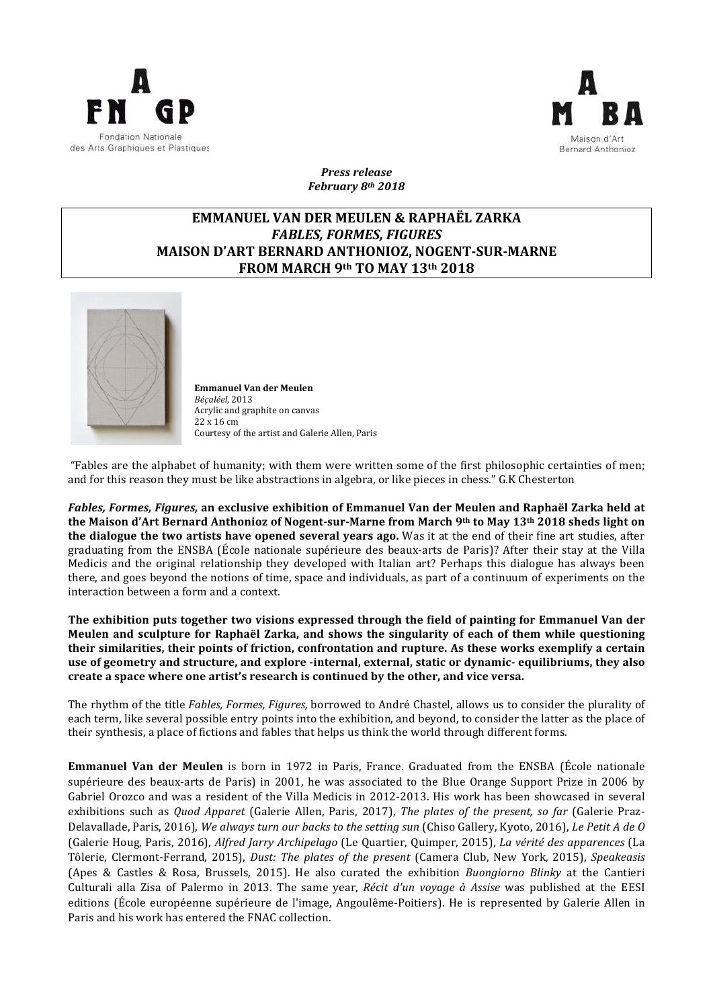



*Press release February 8th 2018*

## **EMMANUEL VAN DER MEULEN & RAPHAËL ZARKA FABLES, FORMES, FIGURES MAISON D'ART BERNARD ANTHONIOZ, NOGENT-SUR-MARNE FROM MARCH 9th TO MAY 13th 2018**



**Emmanuel Van der Meulen** *Béçaléel*, 2013 Acrylic and graphite on canvas 22 x 16 cm Courtesy of the artist and Galerie Allen, Paris

"Fables are the alphabet of humanity; with them were written some of the first philosophic certainties of men; and for this reason they must be like abstractions in algebra, or like pieces in chess." G.K Chesterton

*Fables, Formes, Figures,* an exclusive exhibition of Emmanuel Van der Meulen and Raphaël Zarka held at **the Maison d'Art Bernard Anthonioz of Nogent-sur-Marne from March 9<sup>th</sup> to May 13<sup>th</sup> 2018 sheds light on the dialogue the two artists have opened several years ago.** Was it at the end of their fine art studies, after graduating from the ENSBA (École nationale supérieure des beaux-arts de Paris)? After their stay at the Villa Medicis and the original relationship they developed with Italian art? Perhaps this dialogue has always been there, and goes beyond the notions of time, space and individuals, as part of a continuum of experiments on the interaction between a form and a context.

The exhibition puts together two visions expressed through the field of painting for Emmanuel Van der Meulen and sculpture for Raphaël Zarka, and shows the singularity of each of them while questioning their similarities, their points of friction, confrontation and rupture. As these works exemplify a certain use of geometry and structure, and explore -internal, external, static or dynamic- equilibriums, they also create a space where one artist's research is continued by the other, and vice versa.

The rhythm of the title *Fables, Formes, Figures*, borrowed to André Chastel, allows us to consider the plurality of each term, like several possible entry points into the exhibition, and beyond, to consider the latter as the place of their synthesis, a place of fictions and fables that helps us think the world through different forms.

**Emmanuel Van der Meulen** is born in 1972 in Paris, France. Graduated from the ENSBA (École nationale supérieure des beaux-arts de Paris) in 2001, he was associated to the Blue Orange Support Prize in 2006 by Gabriel Orozco and was a resident of the Villa Medicis in 2012-2013. His work has been showcased in several exhibitions such as *Quod Apparet* (Galerie Allen, Paris, 2017), *The plates of the present, so far* (Galerie Praz-Delavallade, Paris, 2016), *We always turn our backs to the setting sun* (Chiso Gallery, Kyoto, 2016), *Le Petit A de O* (Galerie Houg, Paris, 2016), *Alfred Jarry Archipelago* (Le Quartier, Quimper, 2015), *La vérité des apparences* (La Tôlerie, Clermont-Ferrand, 2015), *Dust: The plates of the present* (Camera Club, New York, 2015), *Speakeasis* (Apes & Castles & Rosa, Brussels, 2015). He also curated the exhibition *Buongiorno Blinky* at the Cantieri Culturali alla Zisa of Palermo in 2013. The same year, *Récit d'un voyage à Assise* was published at the EESI editions (École européenne supérieure de l'image, Angoulême-Poitiers). He is represented by Galerie Allen in Paris and his work has entered the FNAC collection.